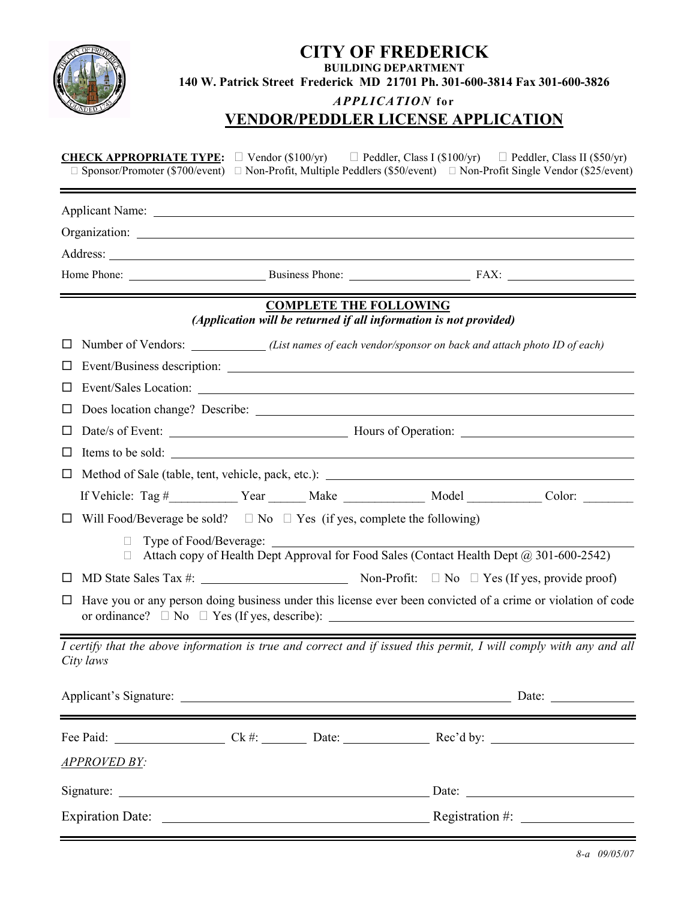|                                                                                                             | <b>CITY OF FREDERICK</b><br><b>BUILDING DEPARTMENT</b><br>140 W. Patrick Street Frederick MD 21701 Ph. 301-600-3814 Fax 301-600-3826<br>APPLICATION for<br><b>VENDOR/PEDDLER LICENSE APPLICATION</b> |                               |                                                                                                                                                               |  |  |  |
|-------------------------------------------------------------------------------------------------------------|------------------------------------------------------------------------------------------------------------------------------------------------------------------------------------------------------|-------------------------------|---------------------------------------------------------------------------------------------------------------------------------------------------------------|--|--|--|
| <b>CHECK APPROPRIATE TYPE:</b><br>Sponsor/Promoter (\$700/event)                                            |                                                                                                                                                                                                      |                               | Vendor (\$100/yr) Peddler, Class I (\$100/yr) Peddler, Class II (\$50/yr)<br>Non-Profit, Multiple Peddlers (\$50/event) Non-Profit Single Vendor (\$25/event) |  |  |  |
|                                                                                                             |                                                                                                                                                                                                      |                               |                                                                                                                                                               |  |  |  |
|                                                                                                             |                                                                                                                                                                                                      |                               |                                                                                                                                                               |  |  |  |
|                                                                                                             |                                                                                                                                                                                                      |                               |                                                                                                                                                               |  |  |  |
|                                                                                                             |                                                                                                                                                                                                      |                               | Home Phone: Business Phone: Business Phone: FAX:                                                                                                              |  |  |  |
|                                                                                                             |                                                                                                                                                                                                      | <b>COMPLETE THE FOLLOWING</b> |                                                                                                                                                               |  |  |  |
|                                                                                                             | (Application will be returned if all information is not provided)                                                                                                                                    |                               |                                                                                                                                                               |  |  |  |
| Number of Vendors: ____________(List names of each vendor/sponsor on back and attach photo ID of each)<br>ப |                                                                                                                                                                                                      |                               |                                                                                                                                                               |  |  |  |
| ப                                                                                                           |                                                                                                                                                                                                      |                               |                                                                                                                                                               |  |  |  |
| $\Box$                                                                                                      |                                                                                                                                                                                                      |                               |                                                                                                                                                               |  |  |  |
| ப                                                                                                           |                                                                                                                                                                                                      |                               |                                                                                                                                                               |  |  |  |
| $\Box$                                                                                                      | Date/s of Event: Mours of Operation: Mours of Operation:<br>Items to be sold:                                                                                                                        |                               |                                                                                                                                                               |  |  |  |
| $\Box$                                                                                                      |                                                                                                                                                                                                      |                               |                                                                                                                                                               |  |  |  |
| □                                                                                                           |                                                                                                                                                                                                      |                               | If Vehicle: Tag #____________ Year ________ Make ______________ Model ___________ Color: _________                                                            |  |  |  |
|                                                                                                             |                                                                                                                                                                                                      |                               |                                                                                                                                                               |  |  |  |
| Will Food/Beverage be sold? No Yes (if yes, complete the following)<br>$\Box$<br>Type of Food/Beverage:     |                                                                                                                                                                                                      |                               | Attach copy of Health Dept Approval for Food Sales (Contact Health Dept @ 301-600-2542)                                                                       |  |  |  |
| $\Box$                                                                                                      |                                                                                                                                                                                                      |                               | Yes (If yes, provide proof)                                                                                                                                   |  |  |  |
| ப<br>or ordinance?                                                                                          |                                                                                                                                                                                                      |                               | Have you or any person doing business under this license ever been convicted of a crime or violation of code                                                  |  |  |  |
| City laws                                                                                                   |                                                                                                                                                                                                      |                               | $\overline{I}$ certify that the above information is true and correct and if issued this permit, I will comply with any and all                               |  |  |  |
|                                                                                                             |                                                                                                                                                                                                      |                               |                                                                                                                                                               |  |  |  |
|                                                                                                             |                                                                                                                                                                                                      |                               |                                                                                                                                                               |  |  |  |
| <b>APPROVED BY:</b>                                                                                         |                                                                                                                                                                                                      |                               |                                                                                                                                                               |  |  |  |
|                                                                                                             |                                                                                                                                                                                                      |                               |                                                                                                                                                               |  |  |  |
|                                                                                                             |                                                                                                                                                                                                      |                               | Registration #: $\frac{1}{2}$                                                                                                                                 |  |  |  |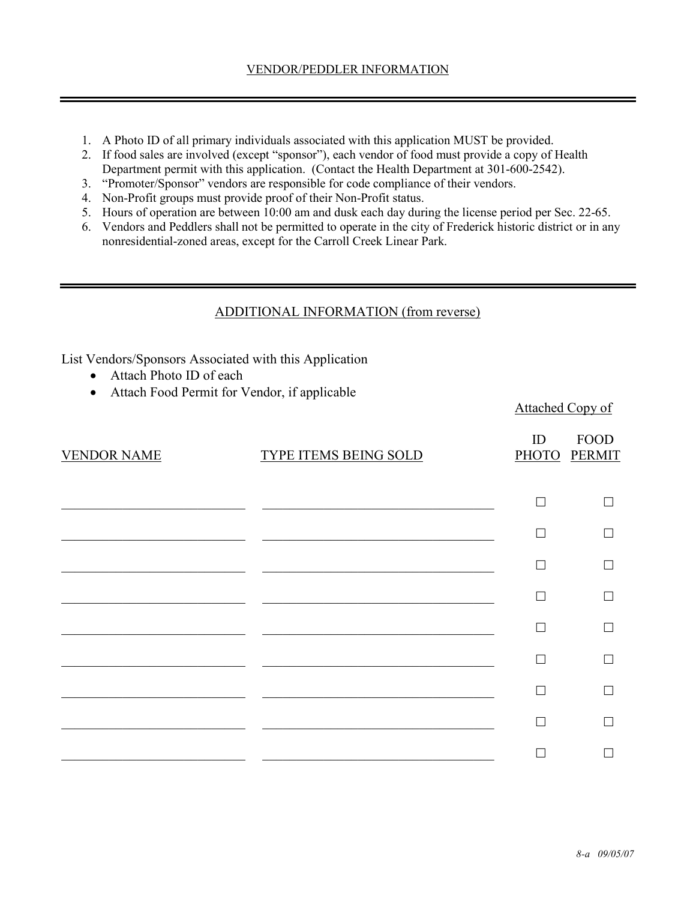- 1. A Photo ID of all primary individuals associated with this application MUST be provided.
- 2. If food sales are involved (except "sponsor"), each vendor of food must provide a copy of Health Department permit with this application. (Contact the Health Department at 301-600-2542).
- 3. "Promoter/Sponsor" vendors are responsible for code compliance of their vendors.
- 4. Non-Profit groups must provide proof of their Non-Profit status.
- 5. Hours of operation are between 10:00 am and dusk each day during the license period per Sec. 22-65.
- 6. Vendors and Peddlers shall not be permitted to operate in the city of Frederick historic district or in any nonresidential-zoned areas, except for the Carroll Creek Linear Park.

## ADDITIONAL INFORMATION (from reverse)

List Vendors/Sponsors Associated with this Application

- Attach Photo ID of each
- Attach Food Permit for Vendor, if applicable

| <b>VENDOR NAME</b> | TYPE ITEMS BEING SOLD | ID | <b>FOOD</b><br>PHOTO PERMIT |
|--------------------|-----------------------|----|-----------------------------|
|                    |                       |    |                             |
|                    |                       |    |                             |
|                    |                       |    |                             |
|                    |                       |    |                             |
|                    |                       |    |                             |
|                    |                       |    |                             |
|                    |                       |    |                             |
|                    |                       |    |                             |
|                    |                       |    |                             |

Attached Copy of